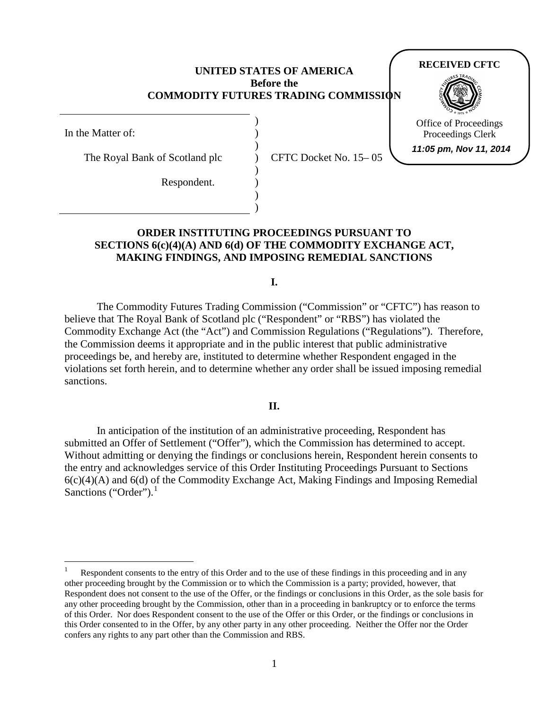### **UNITED STATES OF AMERICA Before the COMMODITY FUTURES TRADING COMMISSION**

) ) ) ) ) ) ) )

In the Matter of:

The Royal Bank of Scotland plc

Respondent.

CFTC Docket No. 15– 05

# **ORDER INSTITUTING PROCEEDINGS PURSUANT TO SECTIONS 6(c)(4)(A) AND 6(d) OF THE COMMODITY EXCHANGE ACT, MAKING FINDINGS, AND IMPOSING REMEDIAL SANCTIONS**

**I.**

The Commodity Futures Trading Commission ("Commission" or "CFTC") has reason to believe that The Royal Bank of Scotland plc ("Respondent" or "RBS") has violated the Commodity Exchange Act (the "Act") and Commission Regulations ("Regulations"). Therefore, the Commission deems it appropriate and in the public interest that public administrative proceedings be, and hereby are, instituted to determine whether Respondent engaged in the violations set forth herein, and to determine whether any order shall be issued imposing remedial sanctions.

**II.**

In anticipation of the institution of an administrative proceeding, Respondent has submitted an Offer of Settlement ("Offer"), which the Commission has determined to accept. Without admitting or denying the findings or conclusions herein, Respondent herein consents to the entry and acknowledges service of this Order Instituting Proceedings Pursuant to Sections  $6(c)(4)(A)$  and  $6(d)$  of the Commodity Exchange Act, Making Findings and Imposing Remedial Sanctions ("Order").

**RECEIVED CFTC**



Office of Proceedings Proceedings Clerk **11:05 pm, Nov 11, 2014**

<span id="page-0-0"></span>Respondent consents to the entry of this Order and to the use of these findings in this proceeding and in any other proceeding brought by the Commission or to which the Commission is a party; provided, however, that Respondent does not consent to the use of the Offer*,* or the findings or conclusions in this Order, as the sole basis for any other proceeding brought by the Commission, other than in a proceeding in bankruptcy or to enforce the terms of this Order. Nor does Respondent consent to the use of the Offer or this Order, or the findings or conclusions in this Order consented to in the Offer, by any other party in any other proceeding. Neither the Offer nor the Order confers any rights to any part other than the Commission and RBS.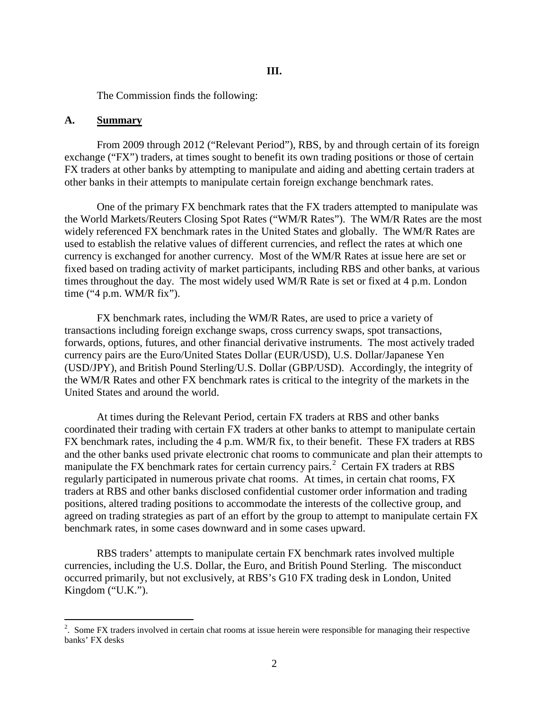The Commission finds the following:

#### **A. Summary**

From 2009 through 2012 ("Relevant Period"), RBS, by and through certain of its foreign exchange ("FX") traders, at times sought to benefit its own trading positions or those of certain FX traders at other banks by attempting to manipulate and aiding and abetting certain traders at other banks in their attempts to manipulate certain foreign exchange benchmark rates.

One of the primary FX benchmark rates that the FX traders attempted to manipulate was the World Markets/Reuters Closing Spot Rates ("WM/R Rates"). The WM/R Rates are the most widely referenced FX benchmark rates in the United States and globally. The WM/R Rates are used to establish the relative values of different currencies, and reflect the rates at which one currency is exchanged for another currency. Most of the WM/R Rates at issue here are set or fixed based on trading activity of market participants, including RBS and other banks, at various times throughout the day. The most widely used WM/R Rate is set or fixed at 4 p.m. London time ("4 p.m. WM/R fix").

FX benchmark rates, including the WM/R Rates, are used to price a variety of transactions including foreign exchange swaps, cross currency swaps, spot transactions, forwards, options, futures, and other financial derivative instruments. The most actively traded currency pairs are the Euro/United States Dollar (EUR/USD), U.S. Dollar/Japanese Yen (USD/JPY), and British Pound Sterling/U.S. Dollar (GBP/USD). Accordingly, the integrity of the WM/R Rates and other FX benchmark rates is critical to the integrity of the markets in the United States and around the world.

At times during the Relevant Period, certain FX traders at RBS and other banks coordinated their trading with certain FX traders at other banks to attempt to manipulate certain FX benchmark rates, including the 4 p.m. WM/R fix, to their benefit. These FX traders at RBS and the other banks used private electronic chat rooms to communicate and plan their attempts to manipulate the FX benchmark rates for certain currency pairs.<sup>[2](#page-1-0)</sup> Certain FX traders at RBS regularly participated in numerous private chat rooms. At times, in certain chat rooms, FX traders at RBS and other banks disclosed confidential customer order information and trading positions, altered trading positions to accommodate the interests of the collective group, and agreed on trading strategies as part of an effort by the group to attempt to manipulate certain FX benchmark rates, in some cases downward and in some cases upward.

RBS traders' attempts to manipulate certain FX benchmark rates involved multiple currencies, including the U.S. Dollar, the Euro, and British Pound Sterling. The misconduct occurred primarily, but not exclusively, at RBS's G10 FX trading desk in London, United Kingdom ("U.K.").

<span id="page-1-0"></span> $\frac{1}{2}$ <sup>2</sup>. Some FX traders involved in certain chat rooms at issue herein were responsible for managing their respective banks' FX desks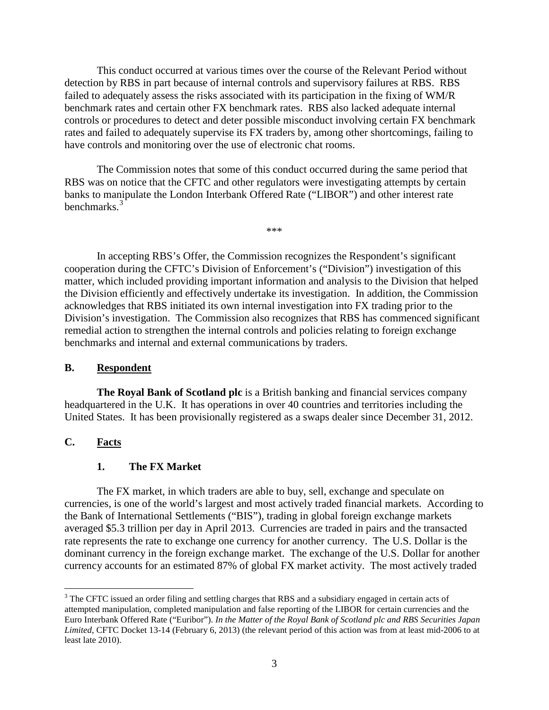This conduct occurred at various times over the course of the Relevant Period without detection by RBS in part because of internal controls and supervisory failures at RBS. RBS failed to adequately assess the risks associated with its participation in the fixing of WM/R benchmark rates and certain other FX benchmark rates. RBS also lacked adequate internal controls or procedures to detect and deter possible misconduct involving certain FX benchmark rates and failed to adequately supervise its FX traders by, among other shortcomings, failing to have controls and monitoring over the use of electronic chat rooms.

The Commission notes that some of this conduct occurred during the same period that RBS was on notice that the CFTC and other regulators were investigating attempts by certain banks to manipulate the London Interbank Offered Rate ("LIBOR") and other interest rate benchmarks.<sup>[3](#page-2-0)</sup>

In accepting RBS's Offer, the Commission recognizes the Respondent's significant cooperation during the CFTC's Division of Enforcement's ("Division") investigation of this matter, which included providing important information and analysis to the Division that helped the Division efficiently and effectively undertake its investigation. In addition, the Commission acknowledges that RBS initiated its own internal investigation into FX trading prior to the Division's investigation. The Commission also recognizes that RBS has commenced significant remedial action to strengthen the internal controls and policies relating to foreign exchange benchmarks and internal and external communications by traders.

\*\*\*

## **B. Respondent**

**The Royal Bank of Scotland plc** is a British banking and financial services company headquartered in the U.K. It has operations in over 40 countries and territories including the United States. It has been provisionally registered as a swaps dealer since December 31, 2012.

# **C. Facts**

# **1. The FX Market**

The FX market, in which traders are able to buy, sell, exchange and speculate on currencies, is one of the world's largest and most actively traded financial markets. According to the Bank of International Settlements ("BIS"), trading in global foreign exchange markets averaged \$5.3 trillion per day in April 2013. Currencies are traded in pairs and the transacted rate represents the rate to exchange one currency for another currency. The U.S. Dollar is the dominant currency in the foreign exchange market. The exchange of the U.S. Dollar for another currency accounts for an estimated 87% of global FX market activity. The most actively traded

<span id="page-2-0"></span><sup>&</sup>lt;sup>3</sup> The CFTC issued an order filing and settling charges that RBS and a subsidiary engaged in certain acts of attempted manipulation, completed manipulation and false reporting of the LIBOR for certain currencies and the Euro Interbank Offered Rate ("Euribor"). *In the Matter of the Royal Bank of Scotland plc and RBS Securities Japan Limited*, CFTC Docket 13-14 (February 6, 2013) (the relevant period of this action was from at least mid-2006 to at least late 2010).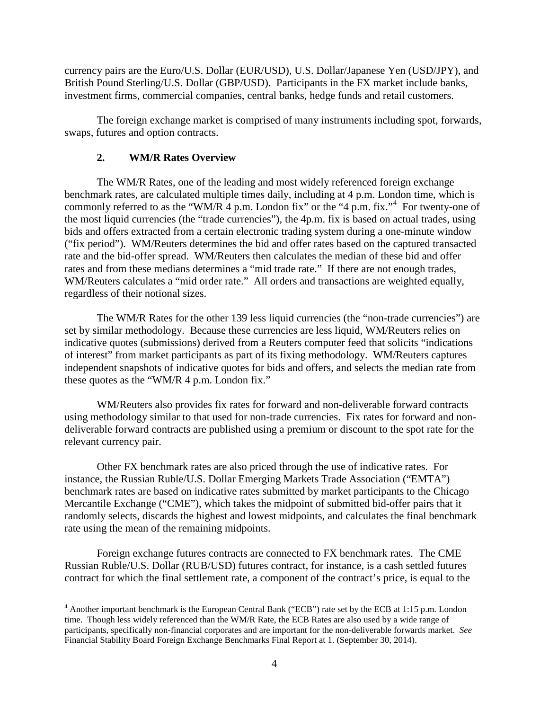currency pairs are the Euro/U.S. Dollar (EUR/USD), U.S. Dollar/Japanese Yen (USD/JPY), and British Pound Sterling/U.S. Dollar (GBP/USD). Participants in the FX market include banks, investment firms, commercial companies, central banks, hedge funds and retail customers.

The foreign exchange market is comprised of many instruments including spot, forwards, swaps, futures and option contracts.

# **2. WM/R Rates Overview**

The WM/R Rates, one of the leading and most widely referenced foreign exchange benchmark rates, are calculated multiple times daily, including at 4 p.m. London time, which is commonly referred to as the "WM/R  $\overline{4}$  $\overline{4}$  $\overline{4}$  p.m. London fix" or the "4 p.m. fix." For twenty-one of the most liquid currencies (the "trade currencies"), the 4p.m. fix is based on actual trades, using bids and offers extracted from a certain electronic trading system during a one-minute window ("fix period"). WM/Reuters determines the bid and offer rates based on the captured transacted rate and the bid-offer spread. WM/Reuters then calculates the median of these bid and offer rates and from these medians determines a "mid trade rate." If there are not enough trades, WM/Reuters calculates a "mid order rate." All orders and transactions are weighted equally, regardless of their notional sizes.

The WM/R Rates for the other 139 less liquid currencies (the "non-trade currencies") are set by similar methodology. Because these currencies are less liquid, WM/Reuters relies on indicative quotes (submissions) derived from a Reuters computer feed that solicits "indications of interest" from market participants as part of its fixing methodology. WM/Reuters captures independent snapshots of indicative quotes for bids and offers, and selects the median rate from these quotes as the "WM/R 4 p.m. London fix."

WM/Reuters also provides fix rates for forward and non-deliverable forward contracts using methodology similar to that used for non-trade currencies. Fix rates for forward and nondeliverable forward contracts are published using a premium or discount to the spot rate for the relevant currency pair.

Other FX benchmark rates are also priced through the use of indicative rates. For instance, the Russian Ruble/U.S. Dollar Emerging Markets Trade Association ("EMTA") benchmark rates are based on indicative rates submitted by market participants to the Chicago Mercantile Exchange ("CME"), which takes the midpoint of submitted bid-offer pairs that it randomly selects, discards the highest and lowest midpoints, and calculates the final benchmark rate using the mean of the remaining midpoints.

Foreign exchange futures contracts are connected to FX benchmark rates. The CME Russian Ruble/U.S. Dollar (RUB/USD) futures contract, for instance, is a cash settled futures contract for which the final settlement rate, a component of the contract's price, is equal to the

<span id="page-3-0"></span><sup>&</sup>lt;sup>4</sup> Another important benchmark is the European Central Bank ("ECB") rate set by the ECB at 1:15 p.m. London time. Though less widely referenced than the WM/R Rate, the ECB Rates are also used by a wide range of participants, specifically non-financial corporates and are important for the non-deliverable forwards market. *See* Financial Stability Board Foreign Exchange Benchmarks Final Report at 1. (September 30, 2014).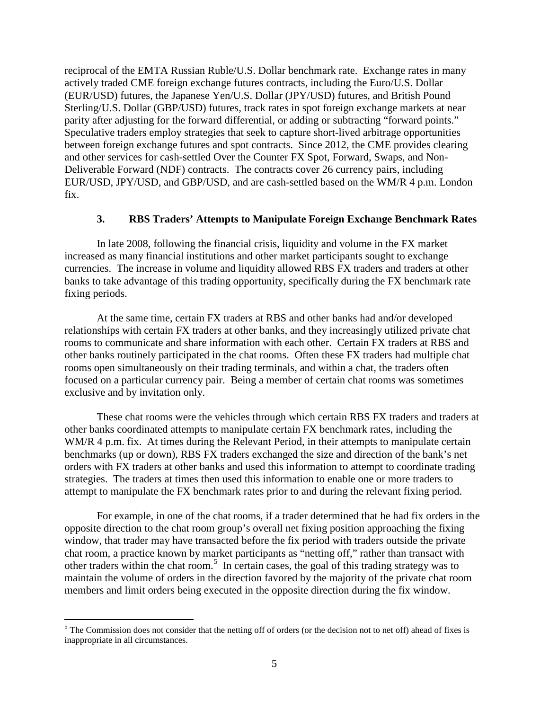reciprocal of the EMTA Russian Ruble/U.S. Dollar benchmark rate. Exchange rates in many actively traded CME foreign exchange futures contracts, including the Euro/U.S. Dollar (EUR/USD) futures, the Japanese Yen/U.S. Dollar (JPY/USD) futures, and British Pound Sterling/U.S. Dollar (GBP/USD) futures, track rates in spot foreign exchange markets at near parity after adjusting for the forward differential, or adding or subtracting "forward points." Speculative traders employ strategies that seek to capture short-lived arbitrage opportunities between foreign exchange futures and spot contracts. Since 2012, the CME provides clearing and other services for cash-settled Over the Counter FX Spot, Forward, Swaps, and Non-Deliverable Forward (NDF) contracts. The contracts cover 26 currency pairs, including EUR/USD, JPY/USD, and GBP/USD, and are cash-settled based on the WM/R 4 p.m. London fix.

## **3. RBS Traders' Attempts to Manipulate Foreign Exchange Benchmark Rates**

In late 2008, following the financial crisis, liquidity and volume in the FX market increased as many financial institutions and other market participants sought to exchange currencies. The increase in volume and liquidity allowed RBS FX traders and traders at other banks to take advantage of this trading opportunity, specifically during the FX benchmark rate fixing periods.

At the same time, certain FX traders at RBS and other banks had and/or developed relationships with certain FX traders at other banks, and they increasingly utilized private chat rooms to communicate and share information with each other. Certain FX traders at RBS and other banks routinely participated in the chat rooms. Often these FX traders had multiple chat rooms open simultaneously on their trading terminals, and within a chat, the traders often focused on a particular currency pair. Being a member of certain chat rooms was sometimes exclusive and by invitation only.

These chat rooms were the vehicles through which certain RBS FX traders and traders at other banks coordinated attempts to manipulate certain FX benchmark rates, including the WM/R 4 p.m. fix. At times during the Relevant Period, in their attempts to manipulate certain benchmarks (up or down), RBS FX traders exchanged the size and direction of the bank's net orders with FX traders at other banks and used this information to attempt to coordinate trading strategies. The traders at times then used this information to enable one or more traders to attempt to manipulate the FX benchmark rates prior to and during the relevant fixing period.

For example, in one of the chat rooms, if a trader determined that he had fix orders in the opposite direction to the chat room group's overall net fixing position approaching the fixing window, that trader may have transacted before the fix period with traders outside the private chat room, a practice known by market participants as "netting off," rather than transact with other traders within the chat room.[5](#page-4-0) In certain cases, the goal of this trading strategy was to maintain the volume of orders in the direction favored by the majority of the private chat room members and limit orders being executed in the opposite direction during the fix window.

<span id="page-4-0"></span> $5$  The Commission does not consider that the netting off of orders (or the decision not to net off) ahead of fixes is inappropriate in all circumstances.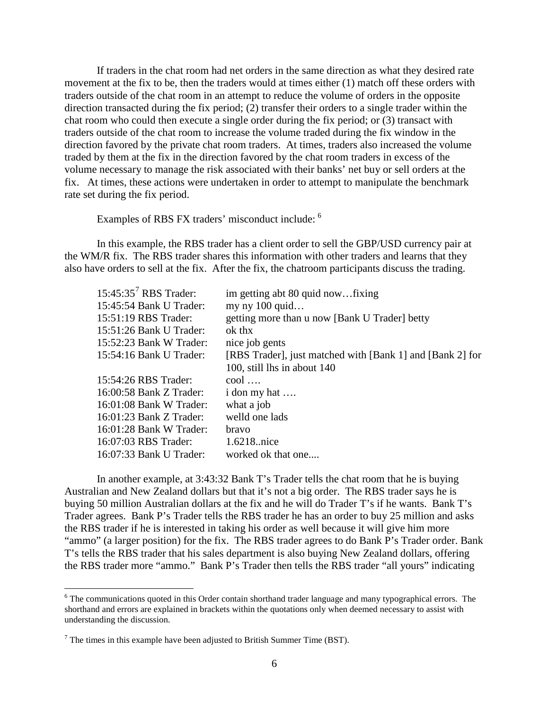If traders in the chat room had net orders in the same direction as what they desired rate movement at the fix to be, then the traders would at times either (1) match off these orders with traders outside of the chat room in an attempt to reduce the volume of orders in the opposite direction transacted during the fix period; (2) transfer their orders to a single trader within the chat room who could then execute a single order during the fix period; or (3) transact with traders outside of the chat room to increase the volume traded during the fix window in the direction favored by the private chat room traders. At times, traders also increased the volume traded by them at the fix in the direction favored by the chat room traders in excess of the volume necessary to manage the risk associated with their banks' net buy or sell orders at the fix. At times, these actions were undertaken in order to attempt to manipulate the benchmark rate set during the fix period.

Examples of RBS FX traders' misconduct include: [6](#page-5-0)

In this example, the RBS trader has a client order to sell the GBP/USD currency pair at the WM/R fix. The RBS trader shares this information with other traders and learns that they also have orders to sell at the fix. After the fix, the chatroom participants discuss the trading.

| $15:45:357$ RBS Trader:   | im getting abt 80 quid nowfixing                          |
|---------------------------|-----------------------------------------------------------|
| 15:45:54 Bank U Trader:   | my ny $100$ quid                                          |
| 15:51:19 RBS Trader:      | getting more than u now [Bank U Trader] betty             |
| $15:51:26$ Bank U Trader: | ok thx                                                    |
| 15:52:23 Bank W Trader:   | nice job gents                                            |
| 15:54:16 Bank U Trader:   | [RBS Trader], just matched with [Bank 1] and [Bank 2] for |
|                           | 100, still lhs in about 140                               |
| 15:54:26 RBS Trader:      | $\text{cool}$                                             |
| $16:00:58$ Bank Z Trader: | $i$ don my hat $\dots$                                    |
| 16:01:08 Bank W Trader:   | what a job                                                |
| 16:01:23 Bank Z Trader:   | welld one lads                                            |
| 16:01:28 Bank W Trader:   | bravo                                                     |
| 16:07:03 RBS Trader:      | 1.6218nice                                                |
| 16:07:33 Bank U Trader:   | worked ok that one                                        |

In another example, at 3:43:32 Bank T's Trader tells the chat room that he is buying Australian and New Zealand dollars but that it's not a big order. The RBS trader says he is buying 50 million Australian dollars at the fix and he will do Trader T's if he wants. Bank T's Trader agrees. Bank P's Trader tells the RBS trader he has an order to buy 25 million and asks the RBS trader if he is interested in taking his order as well because it will give him more "ammo" (a larger position) for the fix. The RBS trader agrees to do Bank P's Trader order. Bank T's tells the RBS trader that his sales department is also buying New Zealand dollars, offering the RBS trader more "ammo." Bank P's Trader then tells the RBS trader "all yours" indicating

<span id="page-5-0"></span><sup>&</sup>lt;sup>6</sup> The communications quoted in this Order contain shorthand trader language and many typographical errors. The shorthand and errors are explained in brackets within the quotations only when deemed necessary to assist with understanding the discussion.

<span id="page-5-1"></span> $7$  The times in this example have been adjusted to British Summer Time (BST).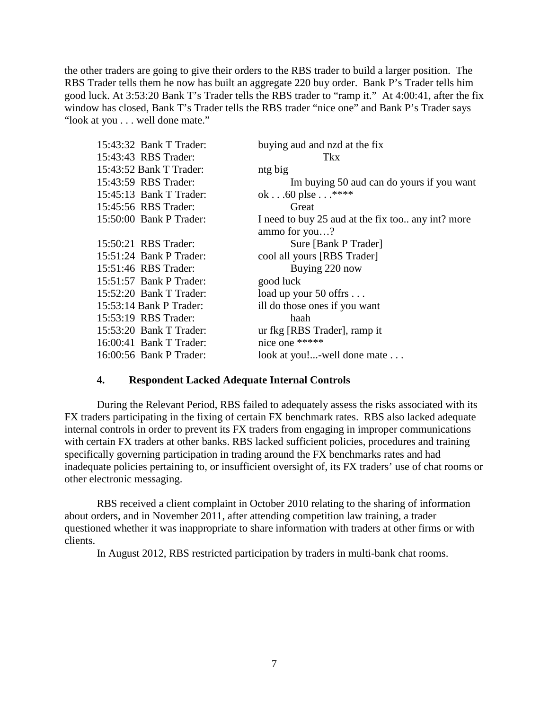the other traders are going to give their orders to the RBS trader to build a larger position. The RBS Trader tells them he now has built an aggregate 220 buy order. Bank P's Trader tells him good luck. At 3:53:20 Bank T's Trader tells the RBS trader to "ramp it." At 4:00:41, after the fix window has closed, Bank T's Trader tells the RBS trader "nice one" and Bank P's Trader says "look at you . . . well done mate."

| 15:43:32 Bank T Trader: | buying aud and nzd at the fix                     |
|-------------------------|---------------------------------------------------|
| 15:43:43 RBS Trader:    | <b>Tkx</b>                                        |
| 15:43:52 Bank T Trader: | ntg big                                           |
| 15:43:59 RBS Trader:    | Im buying 50 aud can do yours if you want         |
| 15:45:13 Bank T Trader: | ok60 plse $\dots$ ****                            |
| 15:45:56 RBS Trader:    | Great                                             |
| 15:50:00 Bank P Trader: | I need to buy 25 aud at the fix too any int? more |
|                         | ammo for you?                                     |
| 15:50:21 RBS Trader:    | Sure [Bank P Trader]                              |
| 15:51:24 Bank P Trader: | cool all yours [RBS Trader]                       |
| 15:51:46 RBS Trader:    | Buying 220 now                                    |
| 15:51:57 Bank P Trader: | good luck                                         |
| 15:52:20 Bank T Trader: | load up your 50 offrs                             |
| 15:53:14 Bank P Trader: | ill do those ones if you want                     |
| 15:53:19 RBS Trader:    | haah                                              |
| 15:53:20 Bank T Trader: | ur fkg [RBS Trader], ramp it                      |
| 16:00:41 Bank T Trader: | nice one *****                                    |
| 16:00:56 Bank P Trader: | look at you!-well done mate                       |

## **4. Respondent Lacked Adequate Internal Controls**

During the Relevant Period, RBS failed to adequately assess the risks associated with its FX traders participating in the fixing of certain FX benchmark rates. RBS also lacked adequate internal controls in order to prevent its FX traders from engaging in improper communications with certain FX traders at other banks. RBS lacked sufficient policies, procedures and training specifically governing participation in trading around the FX benchmarks rates and had inadequate policies pertaining to, or insufficient oversight of, its FX traders' use of chat rooms or other electronic messaging.

RBS received a client complaint in October 2010 relating to the sharing of information about orders, and in November 2011, after attending competition law training, a trader questioned whether it was inappropriate to share information with traders at other firms or with clients.

In August 2012, RBS restricted participation by traders in multi-bank chat rooms.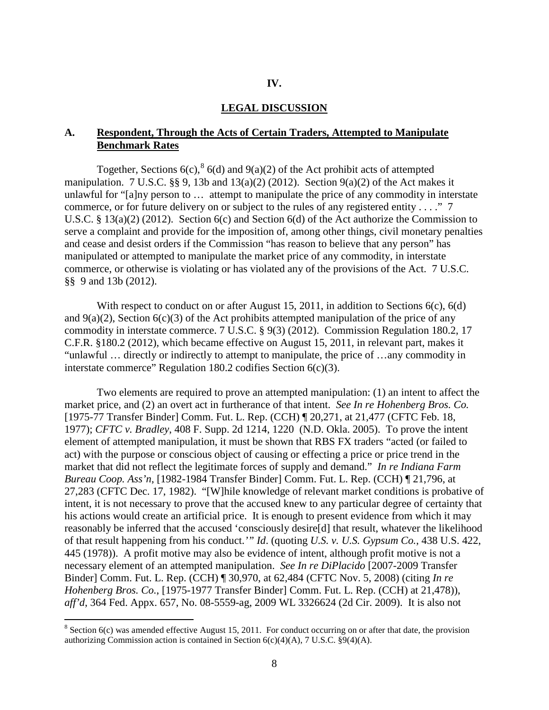### **IV.**

#### **LEGAL DISCUSSION**

## **A. Respondent, Through the Acts of Certain Traders, Attempted to Manipulate Benchmark Rates**

Together, Sections  $6(c)$ ,  $6(d)$  and  $9(a)(2)$  of the Act prohibit acts of attempted manipulation. 7 U.S.C.  $\S$ § 9, 13b and 13(a)(2) (2012). Section 9(a)(2) of the Act makes it unlawful for "[a]ny person to … attempt to manipulate the price of any commodity in interstate commerce, or for future delivery on or subject to the rules of any registered entity . . . ." 7 U.S.C. § 13(a)(2) (2012). Section 6(c) and Section 6(d) of the Act authorize the Commission to serve a complaint and provide for the imposition of, among other things, civil monetary penalties and cease and desist orders if the Commission "has reason to believe that any person" has manipulated or attempted to manipulate the market price of any commodity, in interstate commerce, or otherwise is violating or has violated any of the provisions of the Act. 7 U.S.C. §§ 9 and 13b (2012).

With respect to conduct on or after August 15, 2011, in addition to Sections 6(c), 6(d) and  $9(a)(2)$ , Section  $6(c)(3)$  of the Act prohibits attempted manipulation of the price of any commodity in interstate commerce. 7 U.S.C. § 9(3) (2012). Commission Regulation 180.2, 17 C.F.R. §180.2 (2012), which became effective on August 15, 2011, in relevant part, makes it "unlawful … directly or indirectly to attempt to manipulate, the price of …any commodity in interstate commerce" Regulation 180.2 codifies Section 6(c)(3).

Two elements are required to prove an attempted manipulation: (1) an intent to affect the market price, and (2) an overt act in furtherance of that intent. *See In re Hohenberg Bros. Co.*  [1975-77 Transfer Binder] Comm. Fut. L. Rep. (CCH) ¶ 20,271, at 21,477 (CFTC Feb. 18, 1977); *CFTC v. Bradley*, 408 F. Supp. 2d 1214, 1220 (N.D. Okla. 2005). To prove the intent element of attempted manipulation, it must be shown that RBS FX traders "acted (or failed to act) with the purpose or conscious object of causing or effecting a price or price trend in the market that did not reflect the legitimate forces of supply and demand." *In re Indiana Farm Bureau Coop. Ass'n*, [1982-1984 Transfer Binder] Comm. Fut. L. Rep. (CCH) ¶ 21,796, at 27,283 (CFTC Dec. 17, 1982). "[W]hile knowledge of relevant market conditions is probative of intent, it is not necessary to prove that the accused knew to any particular degree of certainty that his actions would create an artificial price. It is enough to present evidence from which it may reasonably be inferred that the accused 'consciously desire[d] that result, whatever the likelihood of that result happening from his conduct.*'" Id*. (quoting *U.S. v. U.S. Gypsum Co.*, 438 U.S. 422, 445 (1978)). A profit motive may also be evidence of intent, although profit motive is not a necessary element of an attempted manipulation. *See In re DiPlacido* [2007-2009 Transfer Binder] Comm. Fut. L. Rep. (CCH) ¶ 30,970, at 62,484 (CFTC Nov. 5, 2008) (citing *In re Hohenberg Bros. Co.*, [1975-1977 Transfer Binder] Comm. Fut. L. Rep. (CCH) at 21,478)), *aff'd*, 364 Fed. Appx. 657, No. 08-5559-ag, 2009 WL 3326624 (2d Cir. 2009). It is also not

<span id="page-7-0"></span> $8$  Section 6(c) was amended effective August 15, 2011. For conduct occurring on or after that date, the provision authorizing Commission action is contained in Section 6(c)(4)(A), 7 U.S.C. §9(4)(A).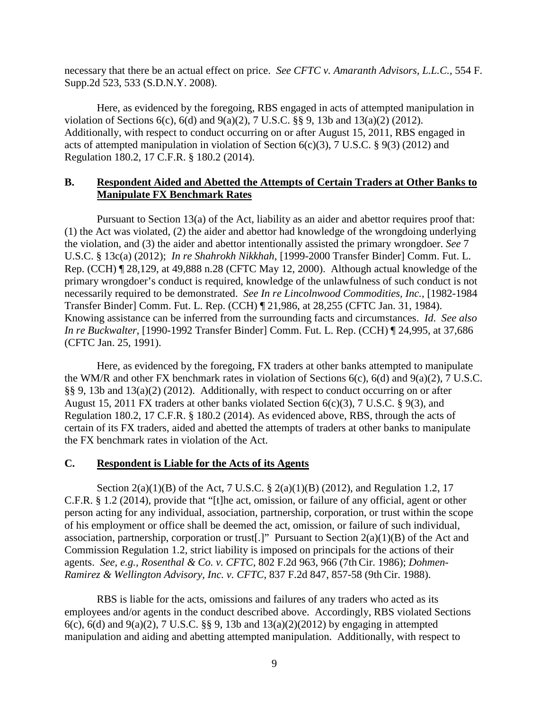necessary that there be an actual effect on price. *See CFTC v. Amaranth Advisors, L.L.C.,* 554 F. Supp.2d 523, 533 (S.D.N.Y. 2008).

Here, as evidenced by the foregoing, RBS engaged in acts of attempted manipulation in violation of Sections 6(c), 6(d) and 9(a)(2), 7 U.S.C. §§ 9, 13b and 13(a)(2) (2012). Additionally, with respect to conduct occurring on or after August 15, 2011, RBS engaged in acts of attempted manipulation in violation of Section 6(c)(3), 7 U.S.C. § 9(3) (2012) and Regulation 180.2, 17 C.F.R. § 180.2 (2014).

# **B. Respondent Aided and Abetted the Attempts of Certain Traders at Other Banks to Manipulate FX Benchmark Rates**

Pursuant to Section 13(a) of the Act, liability as an aider and abettor requires proof that: (1) the Act was violated, (2) the aider and abettor had knowledge of the wrongdoing underlying the violation, and (3) the aider and abettor intentionally assisted the primary wrongdoer. *See* 7 U.S.C. § 13c(a) (2012); *In re Shahrokh Nikkhah*, [1999-2000 Transfer Binder] Comm. Fut. L. Rep. (CCH) ¶ 28,129, at 49,888 n.28 (CFTC May 12, 2000). Although actual knowledge of the primary wrongdoer's conduct is required, knowledge of the unlawfulness of such conduct is not necessarily required to be demonstrated. *See In re Lincolnwood Commodities, Inc.*, [1982-1984 Transfer Binder] Comm. Fut. L. Rep. (CCH) ¶ 21,986, at 28,255 (CFTC Jan. 31, 1984). Knowing assistance can be inferred from the surrounding facts and circumstances. *Id*. *See also In re Buckwalter*, [1990-1992 Transfer Binder] Comm. Fut. L. Rep. (CCH) ¶ 24,995, at 37,686 (CFTC Jan. 25, 1991).

Here, as evidenced by the foregoing, FX traders at other banks attempted to manipulate the WM/R and other FX benchmark rates in violation of Sections 6(c), 6(d) and 9(a)(2), 7 U.S.C. §§ 9, 13b and 13(a)(2) (2012). Additionally, with respect to conduct occurring on or after August 15, 2011 FX traders at other banks violated Section 6(c)(3), 7 U.S.C. § 9(3), and Regulation 180.2, 17 C.F.R. § 180.2 (2014). As evidenced above, RBS, through the acts of certain of its FX traders, aided and abetted the attempts of traders at other banks to manipulate the FX benchmark rates in violation of the Act.

## **C. Respondent is Liable for the Acts of its Agents**

Section 2(a)(1)(B) of the Act, 7 U.S.C. § 2(a)(1)(B) (2012), and Regulation 1.2, 17 C.F.R. § 1.2 (2014), provide that "[t]he act, omission, or failure of any official, agent or other person acting for any individual, association, partnership, corporation, or trust within the scope of his employment or office shall be deemed the act, omission, or failure of such individual, association, partnership, corporation or trust. "Pursuant to Section  $2(a)(1)(B)$  of the Act and Commission Regulation 1.2, strict liability is imposed on principals for the actions of their agents. *See, e.g., Rosenthal & Co. v. CFTC,* 802 F.2d 963, 966 (7th Cir. 1986); *Dohmen-Ramirez & Wellington Advisory, Inc. v. CFTC*, 837 F.2d 847, 857-58 (9th Cir. 1988).

RBS is liable for the acts, omissions and failures of any traders who acted as its employees and/or agents in the conduct described above. Accordingly, RBS violated Sections 6(c), 6(d) and 9(a)(2), 7 U.S.C. §§ 9, 13b and  $13(a)(2)(2012)$  by engaging in attempted manipulation and aiding and abetting attempted manipulation. Additionally, with respect to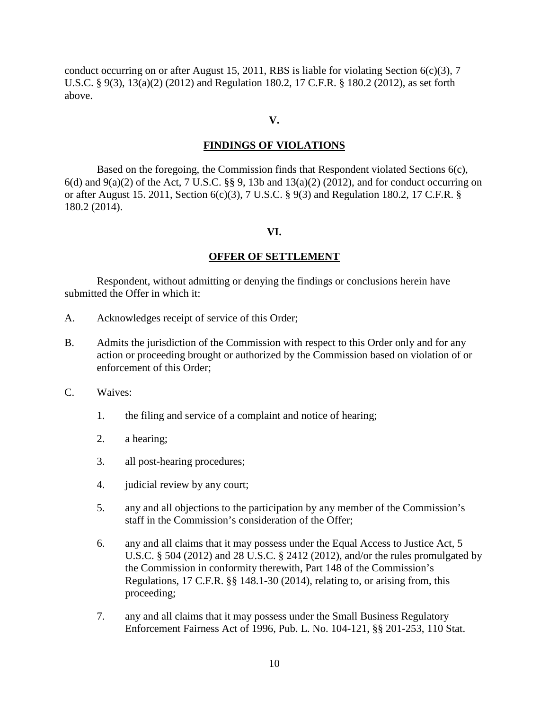conduct occurring on or after August 15, 2011, RBS is liable for violating Section  $6(c)(3)$ , 7 U.S.C. § 9(3), 13(a)(2) (2012) and Regulation 180.2, 17 C.F.R. § 180.2 (2012), as set forth above.

### **V.**

## **FINDINGS OF VIOLATIONS**

Based on the foregoing, the Commission finds that Respondent violated Sections 6(c),  $6(d)$  and  $9(a)(2)$  of the Act, 7 U.S.C. §§ 9, 13b and 13(a)(2) (2012), and for conduct occurring on or after August 15. 2011, Section 6(c)(3), 7 U.S.C. § 9(3) and Regulation 180.2, 17 C.F.R. § 180.2 (2014).

#### **VI.**

#### **OFFER OF SETTLEMENT**

Respondent, without admitting or denying the findings or conclusions herein have submitted the Offer in which it:

- A. Acknowledges receipt of service of this Order;
- B. Admits the jurisdiction of the Commission with respect to this Order only and for any action or proceeding brought or authorized by the Commission based on violation of or enforcement of this Order;
- C. Waives:
	- 1. the filing and service of a complaint and notice of hearing;
	- 2. a hearing;
	- 3. all post-hearing procedures;
	- 4. judicial review by any court;
	- 5. any and all objections to the participation by any member of the Commission's staff in the Commission's consideration of the Offer;
	- 6. any and all claims that it may possess under the Equal Access to Justice Act, 5 U.S.C. § 504 (2012) and 28 U.S.C. § 2412 (2012), and/or the rules promulgated by the Commission in conformity therewith, Part 148 of the Commission's Regulations, 17 C.F.R. §§ 148.1-30 (2014), relating to, or arising from, this proceeding;
	- 7. any and all claims that it may possess under the Small Business Regulatory Enforcement Fairness Act of 1996, Pub. L. No. 104-121, §§ 201-253, 110 Stat.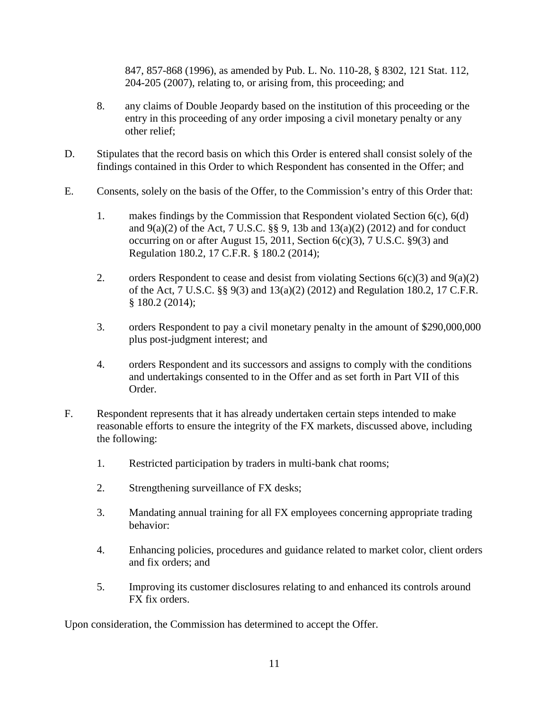847, 857-868 (1996), as amended by Pub. L. No. 110-28, § 8302, 121 Stat. 112, 204-205 (2007), relating to, or arising from, this proceeding; and

- 8. any claims of Double Jeopardy based on the institution of this proceeding or the entry in this proceeding of any order imposing a civil monetary penalty or any other relief;
- D. Stipulates that the record basis on which this Order is entered shall consist solely of the findings contained in this Order to which Respondent has consented in the Offer; and
- E. Consents, solely on the basis of the Offer, to the Commission's entry of this Order that:
	- 1. makes findings by the Commission that Respondent violated Section 6(c), 6(d) and  $9(a)(2)$  of the Act, 7 U.S.C. §§ 9, 13b and  $13(a)(2)$  (2012) and for conduct occurring on or after August 15, 2011, Section  $6(c)(3)$ , 7 U.S.C.  $\S9(3)$  and Regulation 180.2, 17 C.F.R. § 180.2 (2014);
	- 2. orders Respondent to cease and desist from violating Sections  $6(c)(3)$  and  $9(a)(2)$ of the Act, 7 U.S.C. §§ 9(3) and 13(a)(2) (2012) and Regulation 180.2, 17 C.F.R. § 180.2 (2014);
	- 3. orders Respondent to pay a civil monetary penalty in the amount of \$290,000,000 plus post-judgment interest; and
	- 4. orders Respondent and its successors and assigns to comply with the conditions and undertakings consented to in the Offer and as set forth in Part VII of this Order.
- F. Respondent represents that it has already undertaken certain steps intended to make reasonable efforts to ensure the integrity of the FX markets, discussed above, including the following:
	- 1. Restricted participation by traders in multi-bank chat rooms;
	- 2. Strengthening surveillance of FX desks;
	- 3. Mandating annual training for all FX employees concerning appropriate trading behavior:
	- 4. Enhancing policies, procedures and guidance related to market color, client orders and fix orders; and
	- 5. Improving its customer disclosures relating to and enhanced its controls around FX fix orders.

Upon consideration, the Commission has determined to accept the Offer.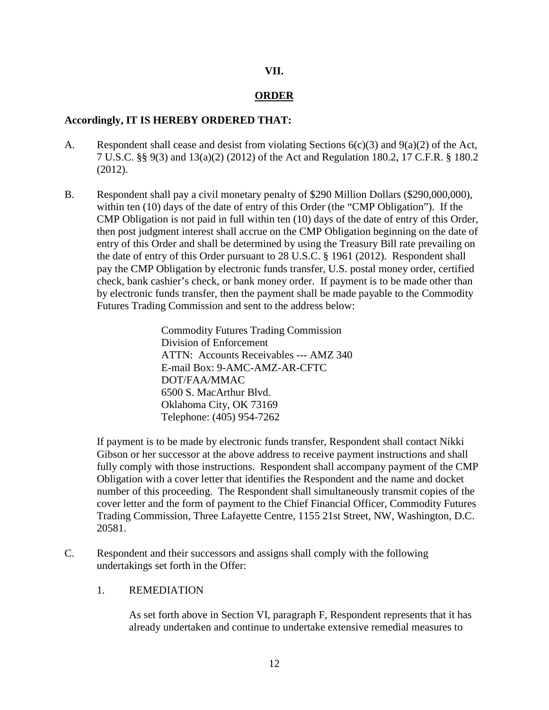## **VII.**

# **ORDER**

# **Accordingly, IT IS HEREBY ORDERED THAT:**

- A. Respondent shall cease and desist from violating Sections  $6(c)(3)$  and  $9(a)(2)$  of the Act, 7 U.S.C. §§ 9(3) and 13(a)(2) (2012) of the Act and Regulation 180.2, 17 C.F.R. § 180.2 (2012).
- B. Respondent shall pay a civil monetary penalty of \$290 Million Dollars (\$290,000,000), within ten (10) days of the date of entry of this Order (the "CMP Obligation"). If the CMP Obligation is not paid in full within ten (10) days of the date of entry of this Order, then post judgment interest shall accrue on the CMP Obligation beginning on the date of entry of this Order and shall be determined by using the Treasury Bill rate prevailing on the date of entry of this Order pursuant to 28 U.S.C. § 1961 (2012). Respondent shall pay the CMP Obligation by electronic funds transfer, U.S. postal money order, certified check, bank cashier's check, or bank money order. If payment is to be made other than by electronic funds transfer, then the payment shall be made payable to the Commodity Futures Trading Commission and sent to the address below:

Commodity Futures Trading Commission Division of Enforcement ATTN: Accounts Receivables --- AMZ 340 E-mail Box: 9-AMC-AMZ-AR-CFTC DOT/FAA/MMAC 6500 S. MacArthur Blvd. Oklahoma City, OK 73169 Telephone: (405) 954-7262

If payment is to be made by electronic funds transfer, Respondent shall contact Nikki Gibson or her successor at the above address to receive payment instructions and shall fully comply with those instructions. Respondent shall accompany payment of the CMP Obligation with a cover letter that identifies the Respondent and the name and docket number of this proceeding. The Respondent shall simultaneously transmit copies of the cover letter and the form of payment to the Chief Financial Officer, Commodity Futures Trading Commission, Three Lafayette Centre, 1155 21st Street, NW, Washington, D.C. 20581.

C. Respondent and their successors and assigns shall comply with the following undertakings set forth in the Offer:

## 1. REMEDIATION

As set forth above in Section VI, paragraph F, Respondent represents that it has already undertaken and continue to undertake extensive remedial measures to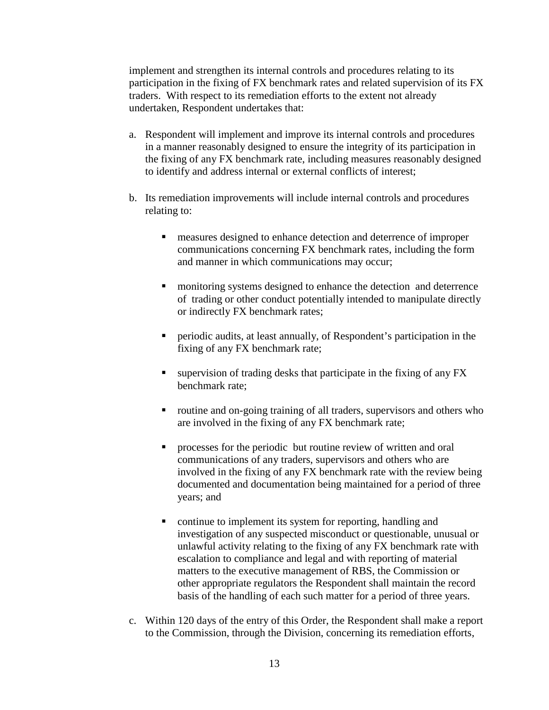implement and strengthen its internal controls and procedures relating to its participation in the fixing of FX benchmark rates and related supervision of its FX traders. With respect to its remediation efforts to the extent not already undertaken, Respondent undertakes that:

- a. Respondent will implement and improve its internal controls and procedures in a manner reasonably designed to ensure the integrity of its participation in the fixing of any FX benchmark rate, including measures reasonably designed to identify and address internal or external conflicts of interest;
- b. Its remediation improvements will include internal controls and procedures relating to:
	- measures designed to enhance detection and deterrence of improper communications concerning FX benchmark rates, including the form and manner in which communications may occur;
	- **namid is a monitoring systems designed to enhance the detection and deterrence** of trading or other conduct potentially intended to manipulate directly or indirectly FX benchmark rates;
	- periodic audits, at least annually, of Respondent's participation in the fixing of any FX benchmark rate;
	- $\blacksquare$  supervision of trading desks that participate in the fixing of any FX benchmark rate;
	- routine and on-going training of all traders, supervisors and others who are involved in the fixing of any FX benchmark rate;
	- **PEDECE** processes for the periodic but routine review of written and oral communications of any traders, supervisors and others who are involved in the fixing of any FX benchmark rate with the review being documented and documentation being maintained for a period of three years; and
	- **•** continue to implement its system for reporting, handling and investigation of any suspected misconduct or questionable, unusual or unlawful activity relating to the fixing of any FX benchmark rate with escalation to compliance and legal and with reporting of material matters to the executive management of RBS, the Commission or other appropriate regulators the Respondent shall maintain the record basis of the handling of each such matter for a period of three years.
- c. Within 120 days of the entry of this Order, the Respondent shall make a report to the Commission, through the Division, concerning its remediation efforts,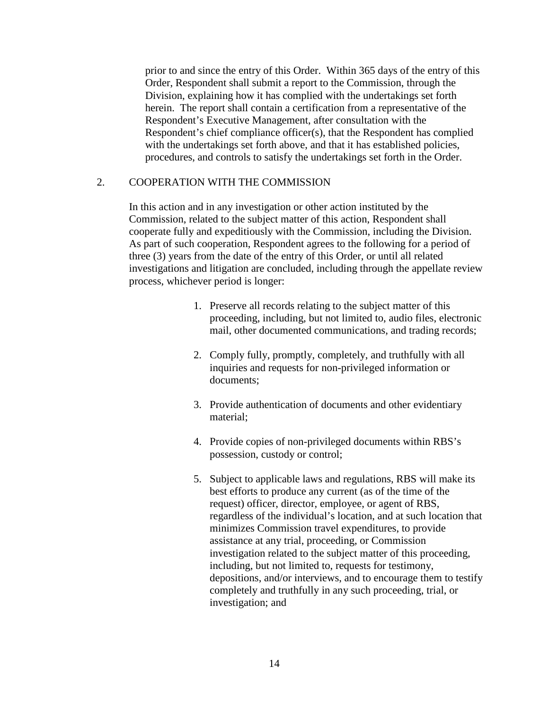prior to and since the entry of this Order. Within 365 days of the entry of this Order, Respondent shall submit a report to the Commission, through the Division, explaining how it has complied with the undertakings set forth herein. The report shall contain a certification from a representative of the Respondent's Executive Management, after consultation with the Respondent's chief compliance officer(s), that the Respondent has complied with the undertakings set forth above, and that it has established policies, procedures, and controls to satisfy the undertakings set forth in the Order.

## 2. COOPERATION WITH THE COMMISSION

In this action and in any investigation or other action instituted by the Commission, related to the subject matter of this action, Respondent shall cooperate fully and expeditiously with the Commission, including the Division. As part of such cooperation, Respondent agrees to the following for a period of three (3) years from the date of the entry of this Order, or until all related investigations and litigation are concluded, including through the appellate review process, whichever period is longer:

- 1. Preserve all records relating to the subject matter of this proceeding, including, but not limited to, audio files, electronic mail, other documented communications, and trading records;
- 2. Comply fully, promptly, completely, and truthfully with all inquiries and requests for non-privileged information or documents;
- 3. Provide authentication of documents and other evidentiary material;
- 4. Provide copies of non-privileged documents within RBS's possession, custody or control;
- 5. Subject to applicable laws and regulations, RBS will make its best efforts to produce any current (as of the time of the request) officer, director, employee, or agent of RBS, regardless of the individual's location, and at such location that minimizes Commission travel expenditures, to provide assistance at any trial, proceeding, or Commission investigation related to the subject matter of this proceeding, including, but not limited to, requests for testimony, depositions, and/or interviews, and to encourage them to testify completely and truthfully in any such proceeding, trial, or investigation; and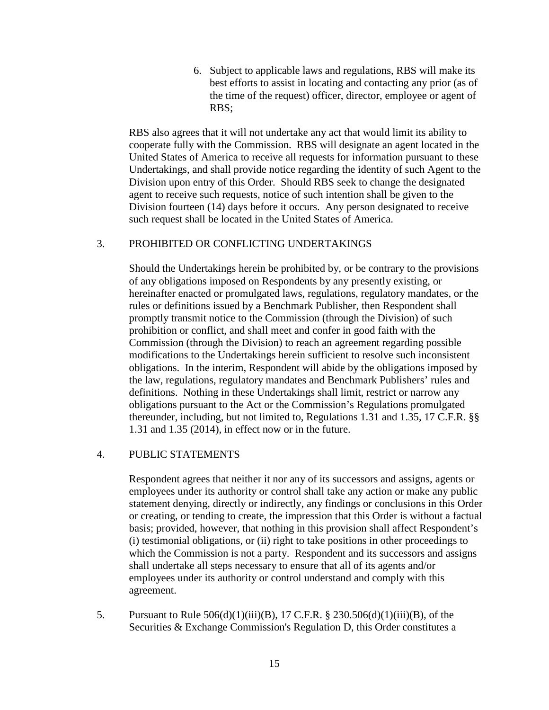6. Subject to applicable laws and regulations, RBS will make its best efforts to assist in locating and contacting any prior (as of the time of the request) officer, director, employee or agent of RBS;

RBS also agrees that it will not undertake any act that would limit its ability to cooperate fully with the Commission. RBS will designate an agent located in the United States of America to receive all requests for information pursuant to these Undertakings, and shall provide notice regarding the identity of such Agent to the Division upon entry of this Order. Should RBS seek to change the designated agent to receive such requests, notice of such intention shall be given to the Division fourteen (14) days before it occurs. Any person designated to receive such request shall be located in the United States of America.

# 3. PROHIBITED OR CONFLICTING UNDERTAKINGS

Should the Undertakings herein be prohibited by, or be contrary to the provisions of any obligations imposed on Respondents by any presently existing, or hereinafter enacted or promulgated laws, regulations, regulatory mandates, or the rules or definitions issued by a Benchmark Publisher, then Respondent shall promptly transmit notice to the Commission (through the Division) of such prohibition or conflict, and shall meet and confer in good faith with the Commission (through the Division) to reach an agreement regarding possible modifications to the Undertakings herein sufficient to resolve such inconsistent obligations. In the interim, Respondent will abide by the obligations imposed by the law, regulations, regulatory mandates and Benchmark Publishers' rules and definitions. Nothing in these Undertakings shall limit, restrict or narrow any obligations pursuant to the Act or the Commission's Regulations promulgated thereunder, including, but not limited to, Regulations 1.31 and 1.35, 17 C.F.R. §§ 1.31 and 1.35 (2014), in effect now or in the future.

# 4. PUBLIC STATEMENTS

Respondent agrees that neither it nor any of its successors and assigns, agents or employees under its authority or control shall take any action or make any public statement denying, directly or indirectly, any findings or conclusions in this Order or creating, or tending to create, the impression that this Order is without a factual basis; provided, however, that nothing in this provision shall affect Respondent's (i) testimonial obligations, or (ii) right to take positions in other proceedings to which the Commission is not a party. Respondent and its successors and assigns shall undertake all steps necessary to ensure that all of its agents and/or employees under its authority or control understand and comply with this agreement.

5. Pursuant to Rule 506(d)(1)(iii)(B), 17 C.F.R. § 230.506(d)(1)(iii)(B), of the Securities & Exchange Commission's Regulation D, this Order constitutes a